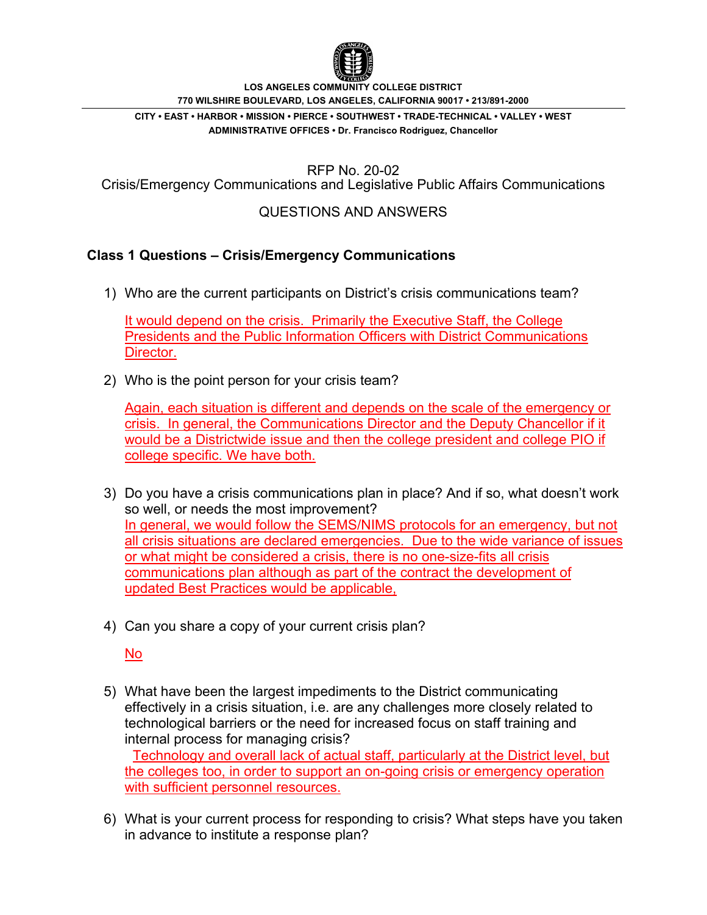

**LOS ANGELES COMMUNITY COLLEGE DISTRICT 770 WILSHIRE BOULEVARD, LOS ANGELES, CALIFORNIA 90017 • 213/891-2000**

**CITY • EAST • HARBOR • MISSION • PIERCE • SOUTHWEST • TRADE-TECHNICAL • VALLEY • WEST ADMINISTRATIVE OFFICES • Dr. Francisco Rodriguez, Chancellor**

RFP No. 20-02

Crisis/Emergency Communications and Legislative Public Affairs Communications

## QUESTIONS AND ANSWERS

## **Class 1 Questions – Crisis/Emergency Communications**

1) Who are the current participants on District's crisis communications team?

It would depend on the crisis. Primarily the Executive Staff, the College Presidents and the Public Information Officers with District Communications Director.

2) Who is the point person for your crisis team?

Again, each situation is different and depends on the scale of the emergency or crisis. In general, the Communications Director and the Deputy Chancellor if it would be a Districtwide issue and then the college president and college PIO if college specific. We have both.

- 3) Do you have a crisis communications plan in place? And if so, what doesn't work so well, or needs the most improvement? In general, we would follow the SEMS/NIMS protocols for an emergency, but not all crisis situations are declared emergencies. Due to the wide variance of issues or what might be considered a crisis, there is no one-size-fits all crisis communications plan although as part of the contract the development of updated Best Practices would be applicable,
- 4) Can you share a copy of your current crisis plan?

No

- 5) What have been the largest impediments to the District communicating effectively in a crisis situation, i.e. are any challenges more closely related to technological barriers or the need for increased focus on staff training and internal process for managing crisis? Technology and overall lack of actual staff, particularly at the District level, but the colleges too, in order to support an on-going crisis or emergency operation with sufficient personnel resources.
- 6) What is your current process for responding to crisis? What steps have you taken in advance to institute a response plan?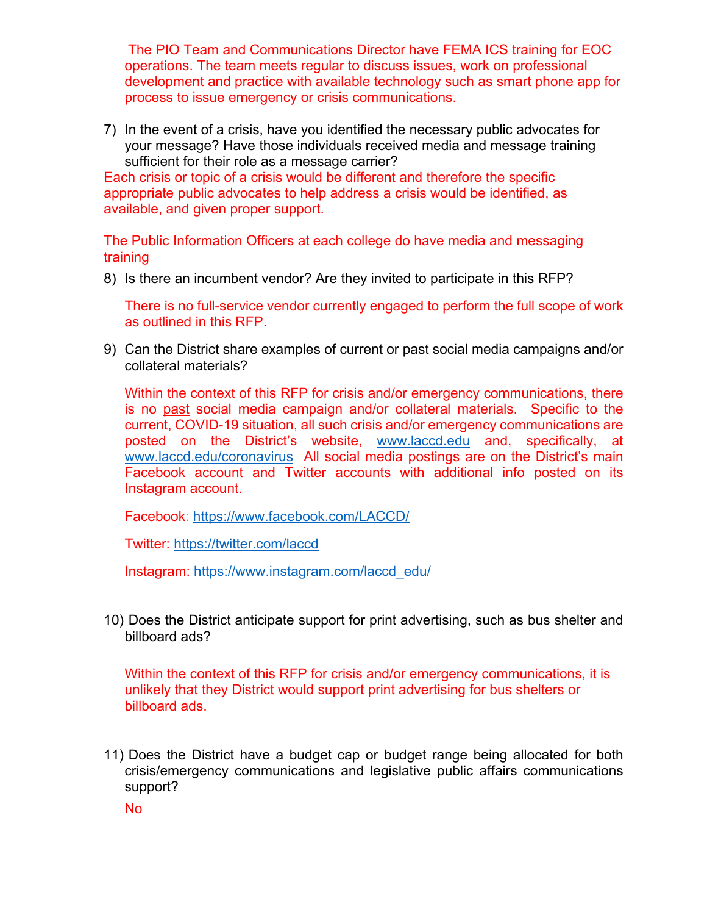The PIO Team and Communications Director have FEMA ICS training for EOC operations. The team meets regular to discuss issues, work on professional development and practice with available technology such as smart phone app for process to issue emergency or crisis communications.

7) In the event of a crisis, have you identified the necessary public advocates for your message? Have those individuals received media and message training sufficient for their role as a message carrier?

Each crisis or topic of a crisis would be different and therefore the specific appropriate public advocates to help address a crisis would be identified, as available, and given proper support.

The Public Information Officers at each college do have media and messaging training

8) Is there an incumbent vendor? Are they invited to participate in this RFP?

There is no full-service vendor currently engaged to perform the full scope of work as outlined in this RFP.

9) Can the District share examples of current or past social media campaigns and/or collateral materials?

Within the context of this RFP for crisis and/or emergency communications, there is no past social media campaign and/or collateral materials. Specific to the current, COVID-19 situation, all such crisis and/or emergency communications are posted on the District's website, [www.laccd.edu](http://www.laccd.edu/) and, specifically, at [www.laccd.edu/coronavirus](http://www.laccd.edu/coronavirus) All social media postings are on the District's main Facebook account and Twitter accounts with additional info posted on its Instagram account.

Facebook:<https://www.facebook.com/LACCD/>

Twitter: <https://twitter.com/laccd>

Instagram: [https://www.instagram.com/laccd\\_edu/](https://www.instagram.com/laccd_edu/)

10) Does the District anticipate support for print advertising, such as bus shelter and billboard ads?

Within the context of this RFP for crisis and/or emergency communications, it is unlikely that they District would support print advertising for bus shelters or billboard ads.

11) Does the District have a budget cap or budget range being allocated for both crisis/emergency communications and legislative public affairs communications support?

No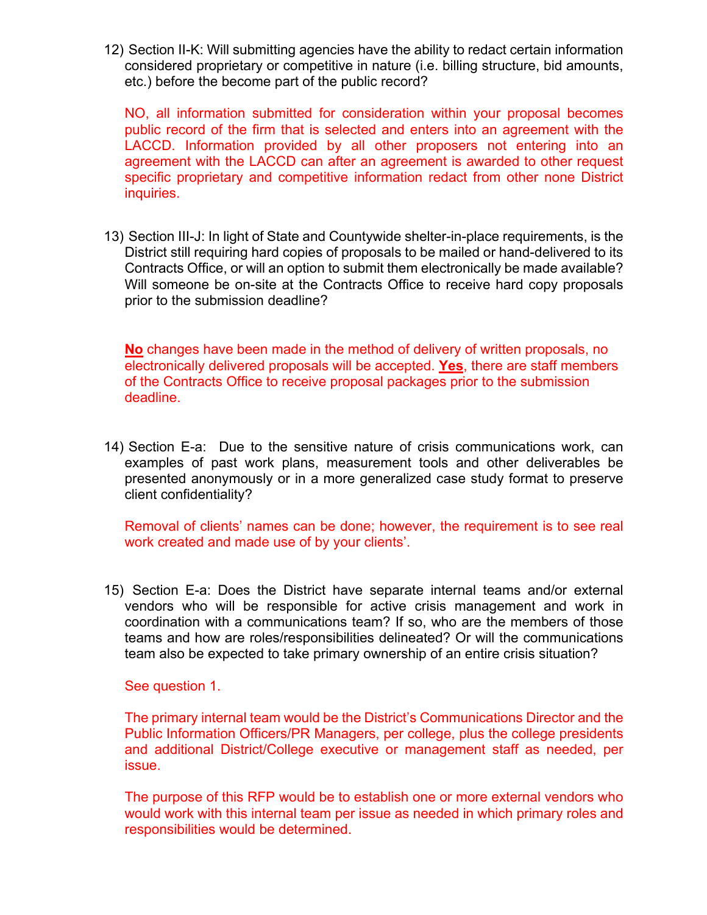12) Section II-K: Will submitting agencies have the ability to redact certain information considered proprietary or competitive in nature (i.e. billing structure, bid amounts, etc.) before the become part of the public record?

NO, all information submitted for consideration within your proposal becomes public record of the firm that is selected and enters into an agreement with the LACCD. Information provided by all other proposers not entering into an agreement with the LACCD can after an agreement is awarded to other request specific proprietary and competitive information redact from other none District inquiries.

13) Section III-J: In light of State and Countywide shelter-in-place requirements, is the District still requiring hard copies of proposals to be mailed or hand-delivered to its Contracts Office, or will an option to submit them electronically be made available? Will someone be on-site at the Contracts Office to receive hard copy proposals prior to the submission deadline?

**No** changes have been made in the method of delivery of written proposals, no electronically delivered proposals will be accepted. **Yes**, there are staff members of the Contracts Office to receive proposal packages prior to the submission deadline.

14) Section E-a: Due to the sensitive nature of crisis communications work, can examples of past work plans, measurement tools and other deliverables be presented anonymously or in a more generalized case study format to preserve client confidentiality?

Removal of clients' names can be done; however, the requirement is to see real work created and made use of by your clients'.

15) Section E-a: Does the District have separate internal teams and/or external vendors who will be responsible for active crisis management and work in coordination with a communications team? If so, who are the members of those teams and how are roles/responsibilities delineated? Or will the communications team also be expected to take primary ownership of an entire crisis situation?

See question 1.

The primary internal team would be the District's Communications Director and the Public Information Officers/PR Managers, per college, plus the college presidents and additional District/College executive or management staff as needed, per issue.

The purpose of this RFP would be to establish one or more external vendors who would work with this internal team per issue as needed in which primary roles and responsibilities would be determined.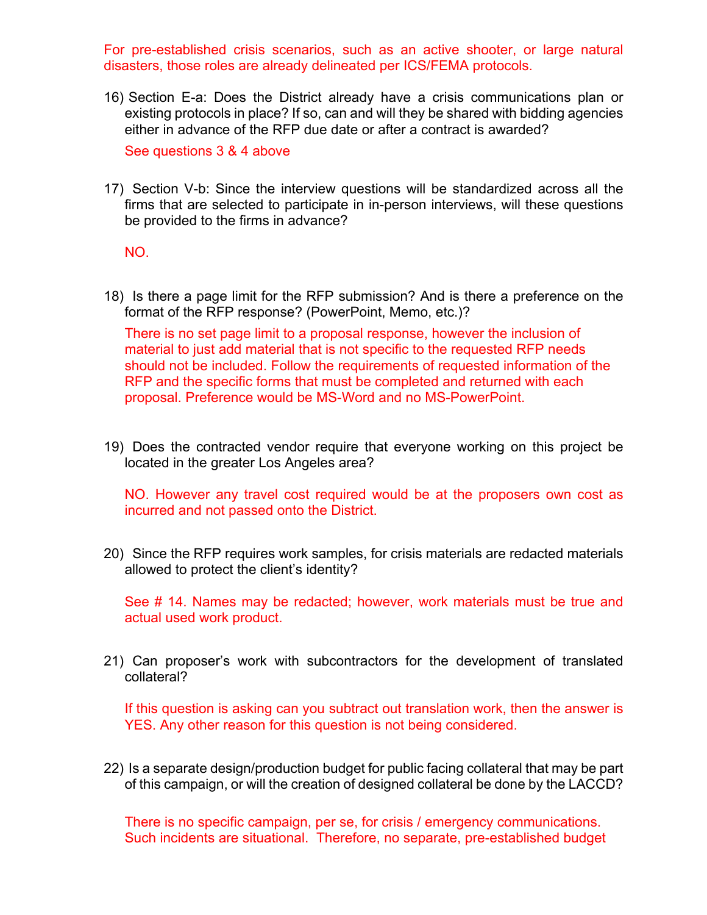For pre-established crisis scenarios, such as an active shooter, or large natural disasters, those roles are already delineated per ICS/FEMA protocols.

16) Section E-a: Does the District already have a crisis communications plan or existing protocols in place? If so, can and will they be shared with bidding agencies either in advance of the RFP due date or after a contract is awarded?

See questions 3 & 4 above

17) Section V-b: Since the interview questions will be standardized across all the firms that are selected to participate in in-person interviews, will these questions be provided to the firms in advance?

NO.

18) Is there a page limit for the RFP submission? And is there a preference on the format of the RFP response? (PowerPoint, Memo, etc.)?

There is no set page limit to a proposal response, however the inclusion of material to just add material that is not specific to the requested RFP needs should not be included. Follow the requirements of requested information of the RFP and the specific forms that must be completed and returned with each proposal. Preference would be MS-Word and no MS-PowerPoint.

19) Does the contracted vendor require that everyone working on this project be located in the greater Los Angeles area?

NO. However any travel cost required would be at the proposers own cost as incurred and not passed onto the District.

20) Since the RFP requires work samples, for crisis materials are redacted materials allowed to protect the client's identity?

See # 14. Names may be redacted; however, work materials must be true and actual used work product.

21) Can proposer's work with subcontractors for the development of translated collateral?

If this question is asking can you subtract out translation work, then the answer is YES. Any other reason for this question is not being considered.

22) Is a separate design/production budget for public facing collateral that may be part of this campaign, or will the creation of designed collateral be done by the LACCD?

There is no specific campaign, per se, for crisis / emergency communications. Such incidents are situational. Therefore, no separate, pre-established budget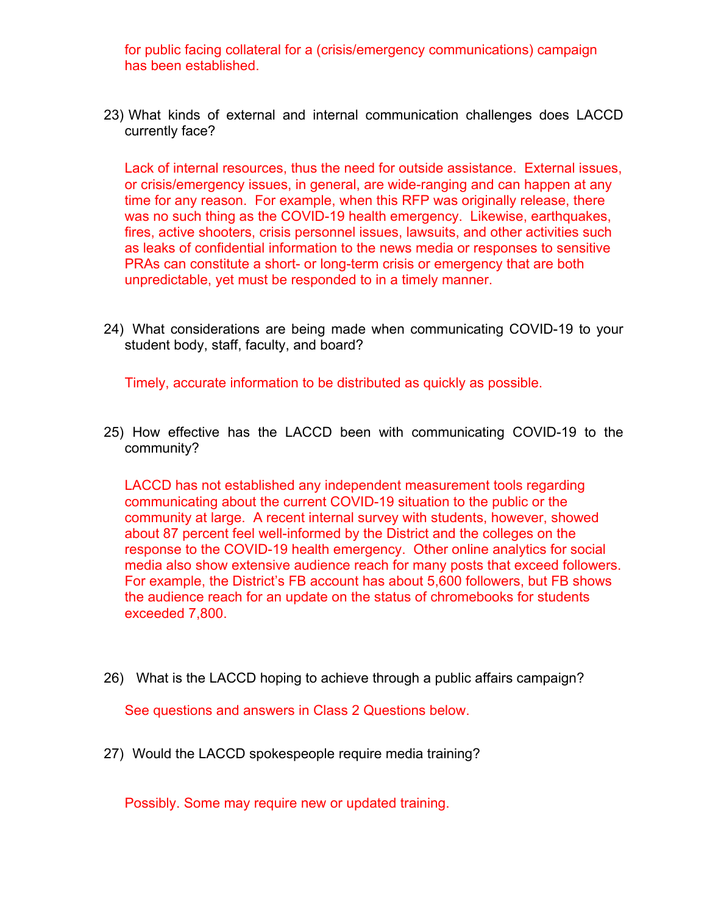for public facing collateral for a (crisis/emergency communications) campaign has been established.

23) What kinds of external and internal communication challenges does LACCD currently face?

Lack of internal resources, thus the need for outside assistance. External issues, or crisis/emergency issues, in general, are wide-ranging and can happen at any time for any reason. For example, when this RFP was originally release, there was no such thing as the COVID-19 health emergency. Likewise, earthquakes, fires, active shooters, crisis personnel issues, lawsuits, and other activities such as leaks of confidential information to the news media or responses to sensitive PRAs can constitute a short- or long-term crisis or emergency that are both unpredictable, yet must be responded to in a timely manner.

24) What considerations are being made when communicating COVID-19 to your student body, staff, faculty, and board?

Timely, accurate information to be distributed as quickly as possible.

25) How effective has the LACCD been with communicating COVID-19 to the community?

LACCD has not established any independent measurement tools regarding communicating about the current COVID-19 situation to the public or the community at large. A recent internal survey with students, however, showed about 87 percent feel well-informed by the District and the colleges on the response to the COVID-19 health emergency. Other online analytics for social media also show extensive audience reach for many posts that exceed followers. For example, the District's FB account has about 5,600 followers, but FB shows the audience reach for an update on the status of chromebooks for students exceeded 7,800.

26) What is the LACCD hoping to achieve through a public affairs campaign?

See questions and answers in Class 2 Questions below.

27) Would the LACCD spokespeople require media training?

Possibly. Some may require new or updated training.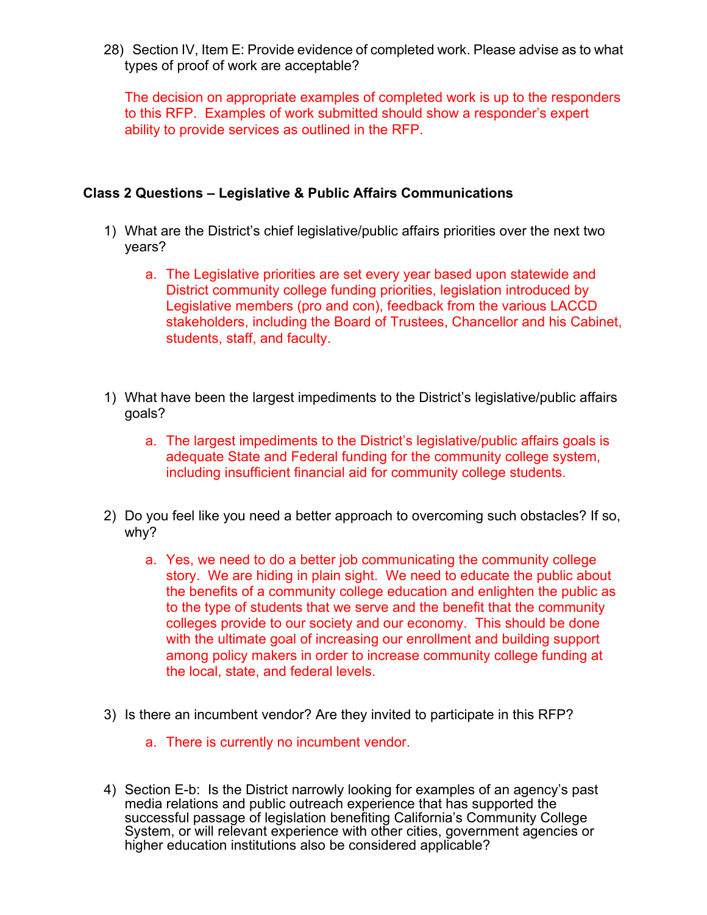28) Section IV, Item E: Provide evidence of completed work. Please advise as to what types of proof of work are acceptable?

The decision on appropriate examples of completed work is up to the responders to this RFP. Examples of work submitted should show a responder's expert ability to provide services as outlined in the RFP.

## **Class 2 Questions – Legislative & Public Affairs Communications**

- 1) What are the District's chief legislative/public affairs priorities over the next two years?
	- a. The Legislative priorities are set every year based upon statewide and District community college funding priorities, legislation introduced by Legislative members (pro and con), feedback from the various LACCD stakeholders, including the Board of Trustees, Chancellor and his Cabinet, students, staff, and faculty.
- 1) What have been the largest impediments to the District's legislative/public affairs goals?
	- a. The largest impediments to the District's legislative/public affairs goals is adequate State and Federal funding for the community college system, including insufficient financial aid for community college students.
- 2) Do you feel like you need a better approach to overcoming such obstacles? If so, why?
	- a. Yes, we need to do a better job communicating the community college story. We are hiding in plain sight. We need to educate the public about the benefits of a community college education and enlighten the public as to the type of students that we serve and the benefit that the community colleges provide to our society and our economy. This should be done with the ultimate goal of increasing our enrollment and building support among policy makers in order to increase community college funding at the local, state, and federal levels.
- 3) Is there an incumbent vendor? Are they invited to participate in this RFP?
	- a. There is currently no incumbent vendor.
- 4) Section E-b: Is the District narrowly looking for examples of an agency's past media relations and public outreach experience that has supported the successful passage of legislation benefiting California's Community College System, or will relevant experience with other cities, government agencies or higher education institutions also be considered applicable?